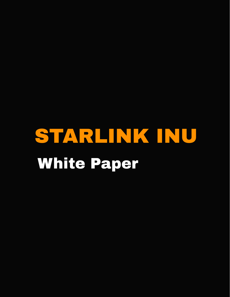# STARLINK INU White Paper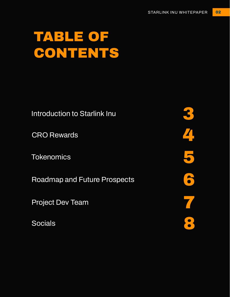# TABLE OF CONTENTS

**Introduction to Starlink Inu**

**CRO Rewards**

**Tokenomics**

**Roadmap and Future Prospects**

**Project Dev Team**

3 4 5 6 7 **Socials** 8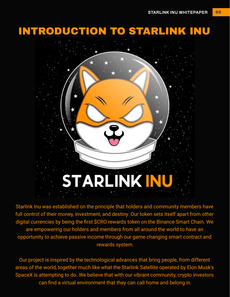# INTRODUCTION TO STARLINK INU



Starlink Inu was established on the principle that holders and community members have full control of their money, investment, and destiny. Our token sets itself apart from other digital currencies by being the first \$CRO rewards token on the Binance Smart Chain. We are empowering our holders and members from all around the world to have an opportunity to achieve passive income through our game changing smart contract and rewards system.

Our project is inspired by the technological advances that bring people, from different areas of the world, together much like what the Starlink Satellite operated by Elon Musk's SpaceX is attempting to do. We believe that with our vibrant community, crypto investors can find a virtual environment that they can call home and belong in.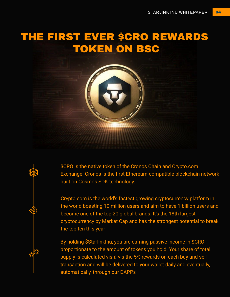# THE FIRST EVER \$CRO REWARDS TOKEN ON BSC



图

\$CRO is the native token of the Cronos Chain and Crypto.com Exchange. Cronos is the first Ethereum-compatible blockchain network built on Cosmos SDK technology.

Crypto.com is the world's fastest growing cryptocurrency platform in the world boasting 10 million users and aim to have 1 billion users and become one of the top 20 global brands. It's the 18th largest cryptocurrency by Market Cap and has the strongest potential to break the top ten this year

By holding \$StarlinkInu, you are earning passive income in \$CRO proportionate to the amount of tokens you hold. Your share of total supply is calculated vis-à-vis the 5% rewards on each buy and sell transaction and will be delivered to your wallet daily and eventually, automatically, through our DAPPs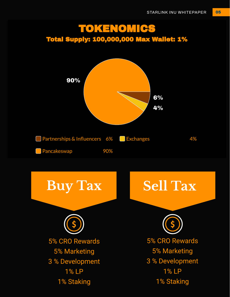#### TOKENOMICS Total Supply: 100,000,000 Max Wallet: 1%

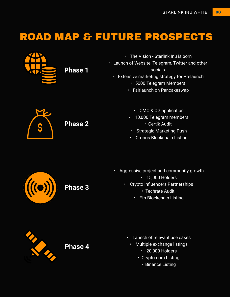# ROAD MAP & FUTURE PROSPECTS



**Phase 1**

- The Vision Starlink Inu is born
- Launch of Website, Telegram, Twitter and other socials
	- Extensive marketing strategy for Prelaunch
		- 5000 Telegram Members
		- Fairlaunch on Pancakeswap

**Phase 2**

- CMC & CG application
- 10,000 Telegram members
	- Certik Audit
- Strategic Marketing Push
- Cronos Blockchain Listing



**Phase 3**

- Aggressive project and community growth
	- 15,000 Holders
	- Crypto Influencers Partnerships
		- Techrate Audit
		- Eth Blockchain Listing



**Phase 4**

- Launch of relevant use cases
	- Multiple exchange listings
		- 20,000 Holders
		- Crypto.com Listing
			- Binance Listing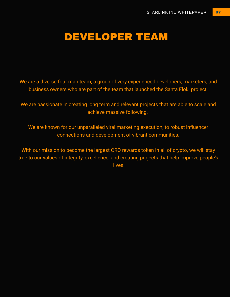#### DEVELOPER TEAM

We are a diverse four man team, a group of very experienced developers, marketers, and business owners who are part of the team that launched the Santa Floki project.

We are passionate in creating long term and relevant projects that are able to scale and achieve massive following.

We are known for our unparalleled viral marketing execution, to robust influencer connections and development of vibrant communities.

With our mission to become the largest CRO rewards token in all of crypto, we will stay true to our values of integrity, excellence, and creating projects that help improve people's lives.